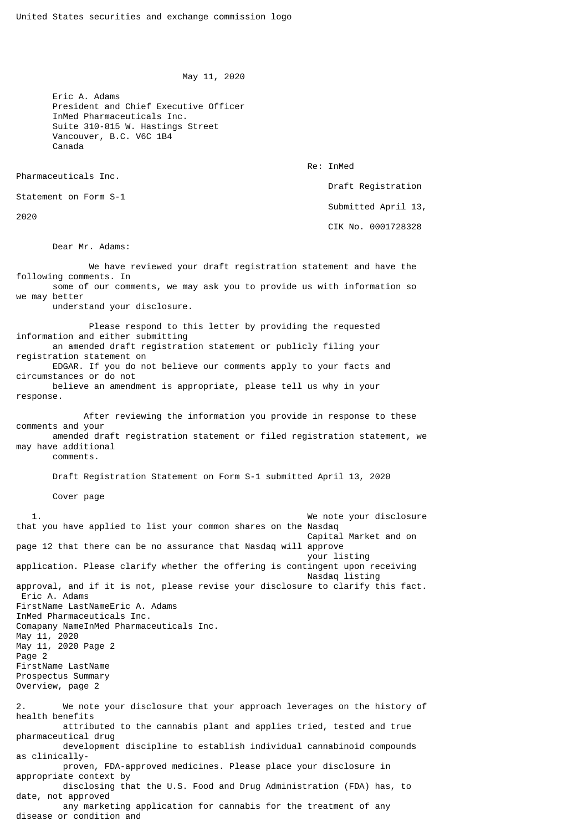May 11, 2020

 Eric A. Adams President and Chief Executive Officer InMed Pharmaceuticals Inc. Suite 310-815 W. Hastings Street Vancouver, B.C. V6C 1B4 Canada

Re: InMed

Pharmaceuticals Inc.

Statement on Form S-1

2020

 Draft Registration Submitted April 13, CIK No. 0001728328

Dear Mr. Adams:

 We have reviewed your draft registration statement and have the following comments. In some of our comments, we may ask you to provide us with information so we may better understand your disclosure. Please respond to this letter by providing the requested information and either submitting an amended draft registration statement or publicly filing your registration statement on EDGAR. If you do not believe our comments apply to your facts and circumstances or do not believe an amendment is appropriate, please tell us why in your response. After reviewing the information you provide in response to these comments and your amended draft registration statement or filed registration statement, we may have additional comments. Draft Registration Statement on Form S-1 submitted April 13, 2020 Cover page 1. We note your disclosure that you have applied to list your common shares on the Nasdaq Capital Market and on page 12 that there can be no assurance that Nasdag will approve your listing application. Please clarify whether the offering is contingent upon receiving Nasdaq listing approval, and if it is not, please revise your disclosure to clarify this fact. Eric A. Adams FirstName LastNameEric A. Adams InMed Pharmaceuticals Inc. Comapany NameInMed Pharmaceuticals Inc. May 11, 2020 May 11, 2020 Page 2 Page 2 FirstName LastName Prospectus Summary Overview, page 2 2. We note your disclosure that your approach leverages on the history of health benefits attributed to the cannabis plant and applies tried, tested and true pharmaceutical drug development discipline to establish individual cannabinoid compounds as clinically proven, FDA-approved medicines. Please place your disclosure in appropriate context by disclosing that the U.S. Food and Drug Administration (FDA) has, to date, not approved

 any marketing application for cannabis for the treatment of any disease or condition and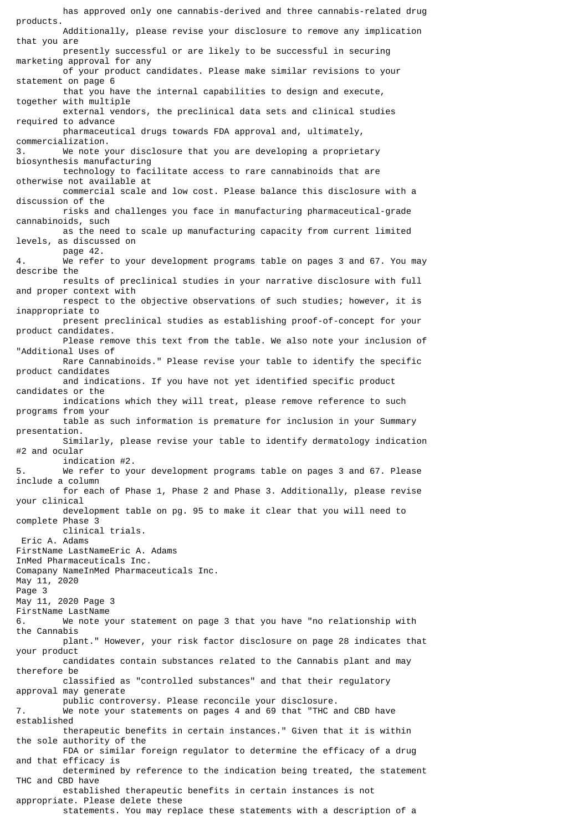has approved only one cannabis-derived and three cannabis-related drug products. Additionally, please revise your disclosure to remove any implication that you are presently successful or are likely to be successful in securing marketing approval for any of your product candidates. Please make similar revisions to your statement on page 6 that you have the internal capabilities to design and execute, together with multiple external vendors, the preclinical data sets and clinical studies required to advance pharmaceutical drugs towards FDA approval and, ultimately, commercialization. 3. We note your disclosure that you are developing a proprietary biosynthesis manufacturing technology to facilitate access to rare cannabinoids that are otherwise not available at commercial scale and low cost. Please balance this disclosure with a discussion of the risks and challenges you face in manufacturing pharmaceutical-grade cannabinoids, such as the need to scale up manufacturing capacity from current limited levels, as discussed on page 42. 4. We refer to your development programs table on pages 3 and 67. You may describe the results of preclinical studies in your narrative disclosure with full and proper context with respect to the objective observations of such studies; however, it is inappropriate to present preclinical studies as establishing proof-of-concept for your product candidates. Please remove this text from the table. We also note your inclusion of "Additional Uses of Rare Cannabinoids." Please revise your table to identify the specific product candidates and indications. If you have not yet identified specific product candidates or the indications which they will treat, please remove reference to such programs from your table as such information is premature for inclusion in your Summary presentation. Similarly, please revise your table to identify dermatology indication #2 and ocular indication #2.<br>5. We refer to yo We refer to your development programs table on pages 3 and 67. Please include a column for each of Phase 1, Phase 2 and Phase 3. Additionally, please revise your clinical development table on pg. 95 to make it clear that you will need to complete Phase 3 clinical trials. Eric A. Adams FirstName LastNameEric A. Adams InMed Pharmaceuticals Inc. Comapany NameInMed Pharmaceuticals Inc. May 11, 2020 Page 3 May 11, 2020 Page 3 FirstName LastName 6. We note your statement on page 3 that you have "no relationship with the Cannabis plant." However, your risk factor disclosure on page 28 indicates that your product candidates contain substances related to the Cannabis plant and may therefore be classified as "controlled substances" and that their regulatory approval may generate public controversy. Please reconcile your disclosure. 7. We note your statements on pages 4 and 69 that "THC and CBD have established therapeutic benefits in certain instances." Given that it is within the sole authority of the FDA or similar foreign regulator to determine the efficacy of a drug and that efficacy is determined by reference to the indication being treated, the statement THC and CBD have established therapeutic benefits in certain instances is not appropriate. Please delete these

statements. You may replace these statements with a description of a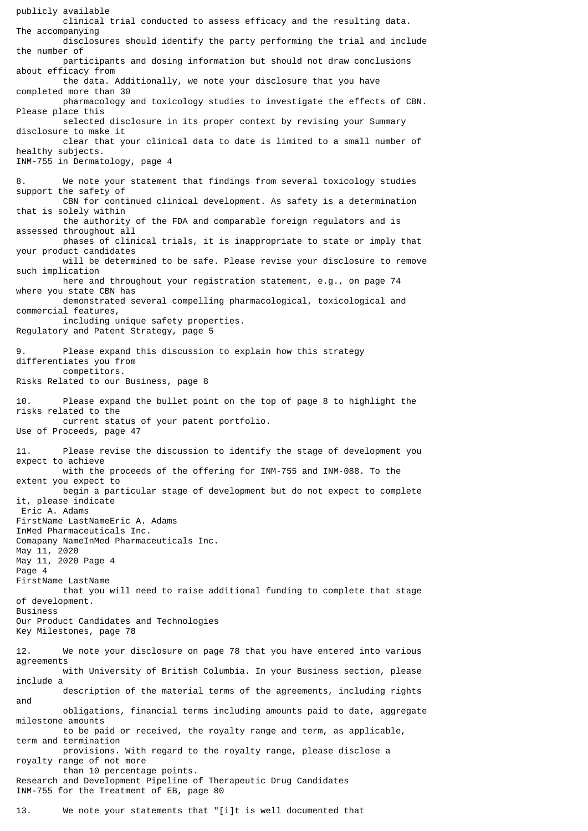publicly available clinical trial conducted to assess efficacy and the resulting data. The accompanying disclosures should identify the party performing the trial and include the number of participants and dosing information but should not draw conclusions about efficacy from the data. Additionally, we note your disclosure that you have completed more than 30 pharmacology and toxicology studies to investigate the effects of CBN. Please place this selected disclosure in its proper context by revising your Summary disclosure to make it clear that your clinical data to date is limited to a small number of healthy subjects. INM-755 in Dermatology, page 4 8. We note your statement that findings from several toxicology studies support the safety of CBN for continued clinical development. As safety is a determination that is solely within the authority of the FDA and comparable foreign regulators and is assessed throughout all phases of clinical trials, it is inappropriate to state or imply that your product candidates will be determined to be safe. Please revise your disclosure to remove such implication here and throughout your registration statement, e.g., on page 74 where you state CBN has demonstrated several compelling pharmacological, toxicological and commercial features, including unique safety properties. Regulatory and Patent Strategy, page 5 9. Please expand this discussion to explain how this strategy differentiates you from competitors. Risks Related to our Business, page 8 10. Please expand the bullet point on the top of page 8 to highlight the risks related to the current status of your patent portfolio. Use of Proceeds, page 47 11. Please revise the discussion to identify the stage of development you expect to achieve with the proceeds of the offering for INM-755 and INM-088. To the extent you expect to begin a particular stage of development but do not expect to complete it, please indicate Eric A. Adams FirstName LastNameEric A. Adams InMed Pharmaceuticals Inc. Comapany NameInMed Pharmaceuticals Inc. May 11, 2020 May 11, 2020 Page 4 Page 4 FirstName LastName that you will need to raise additional funding to complete that stage of development. Business Our Product Candidates and Technologies Key Milestones, page 78 12. We note your disclosure on page 78 that you have entered into various agreements with University of British Columbia. In your Business section, please include a description of the material terms of the agreements, including rights and obligations, financial terms including amounts paid to date, aggregate milestone amounts to be paid or received, the royalty range and term, as applicable, term and termination provisions. With regard to the royalty range, please disclose a royalty range of not more than 10 percentage points. Research and Development Pipeline of Therapeutic Drug Candidates INM-755 for the Treatment of EB, page 80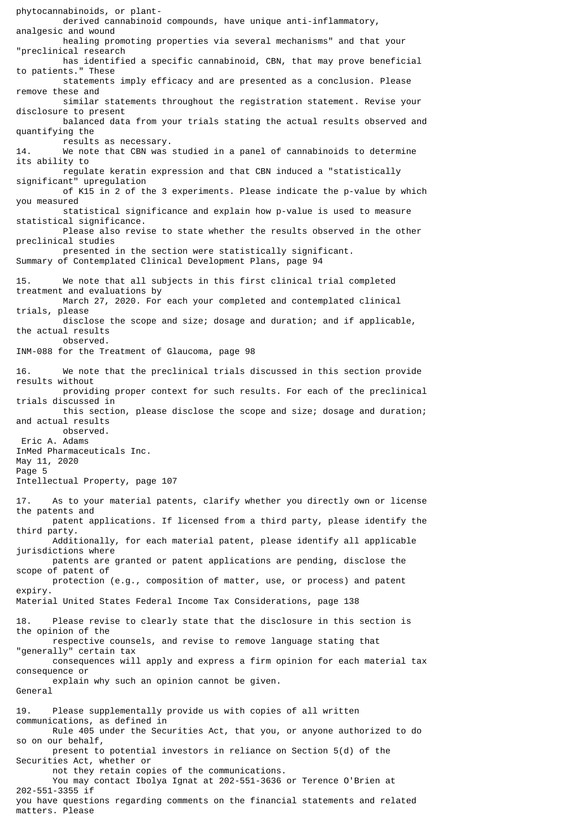phytocannabinoids, or plant derived cannabinoid compounds, have unique anti-inflammatory, analgesic and wound healing promoting properties via several mechanisms" and that your "preclinical research has identified a specific cannabinoid, CBN, that may prove beneficial to patients." These statements imply efficacy and are presented as a conclusion. Please remove these and similar statements throughout the registration statement. Revise your disclosure to present balanced data from your trials stating the actual results observed and quantifying the results as necessary. 14. We note that CBN was studied in a panel of cannabinoids to determine its ability to regulate keratin expression and that CBN induced a "statistically significant" upregulation of K15 in 2 of the 3 experiments. Please indicate the p-value by which you measured statistical significance and explain how p-value is used to measure statistical significance. Please also revise to state whether the results observed in the other preclinical studies presented in the section were statistically significant. Summary of Contemplated Clinical Development Plans, page 94 15. We note that all subjects in this first clinical trial completed treatment and evaluations by March 27, 2020. For each your completed and contemplated clinical trials, please disclose the scope and size; dosage and duration; and if applicable, the actual results observed. INM-088 for the Treatment of Glaucoma, page 98 16. We note that the preclinical trials discussed in this section provide results without providing proper context for such results. For each of the preclinical trials discussed in this section, please disclose the scope and size; dosage and duration; and actual results observed. Eric A. Adams InMed Pharmaceuticals Inc. May 11, 2020 Page 5 Intellectual Property, page 107 17. As to your material patents, clarify whether you directly own or license the patents and patent applications. If licensed from a third party, please identify the third party. Additionally, for each material patent, please identify all applicable jurisdictions where patents are granted or patent applications are pending, disclose the scope of patent of protection (e.g., composition of matter, use, or process) and patent expiry. Material United States Federal Income Tax Considerations, page 138 18. Please revise to clearly state that the disclosure in this section is the opinion of the respective counsels, and revise to remove language stating that "generally" certain tax consequences will apply and express a firm opinion for each material tax consequence or explain why such an opinion cannot be given. General 19. Please supplementally provide us with copies of all written communications, as defined in Rule 405 under the Securities Act, that you, or anyone authorized to do so on our behalf, present to potential investors in reliance on Section 5(d) of the Securities Act, whether or not they retain copies of the communications. You may contact Ibolya Ignat at 202-551-3636 or Terence O'Brien at 202-551-3355 if you have questions regarding comments on the financial statements and related

matters. Please